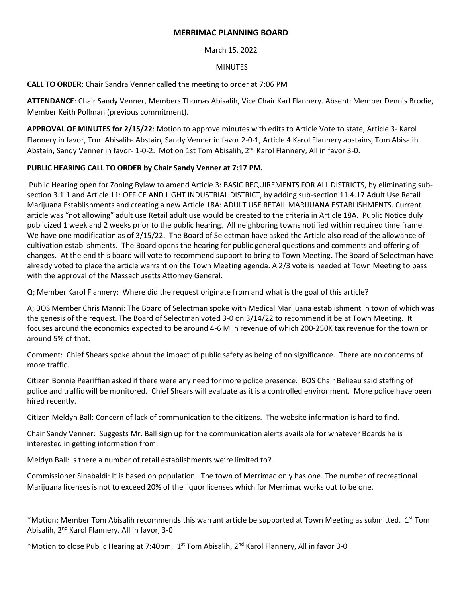## **MERRIMAC PLANNING BOARD**

March 15, 2022

### MINUTES

**CALL TO ORDER:** Chair Sandra Venner called the meeting to order at 7:06 PM

**ATTENDANCE**: Chair Sandy Venner, Members Thomas Abisalih, Vice Chair Karl Flannery. Absent: Member Dennis Brodie, Member Keith Pollman (previous commitment).

**APPROVAL OF MINUTES for 2/15/22**: Motion to approve minutes with edits to Article Vote to state, Article 3- Karol Flannery in favor, Tom Abisalih- Abstain, Sandy Venner in favor 2-0-1, Article 4 Karol Flannery abstains, Tom Abisalih Abstain, Sandy Venner in favor- 1-0-2. Motion 1st Tom Abisalih, 2<sup>nd</sup> Karol Flannery, All in favor 3-0.

# **PUBLIC HEARING CALL TO ORDER by Chair Sandy Venner at 7:17 PM.**

Public Hearing open for Zoning Bylaw to amend Article 3: BASIC REQUIREMENTS FOR ALL DISTRICTS, by eliminating subsection 3.1.1 and Article 11: OFFICE AND LIGHT INDUSTRIAL DISTRICT, by adding sub-section 11.4.17 Adult Use Retail Marijuana Establishments and creating a new Article 18A: ADULT USE RETAIL MARIJUANA ESTABLISHMENTS. Current article was "not allowing" adult use Retail adult use would be created to the criteria in Article 18A. Public Notice duly publicized 1 week and 2 weeks prior to the public hearing. All neighboring towns notified within required time frame. We have one modification as of 3/15/22. The Board of Selectman have asked the Article also read of the allowance of cultivation establishments. The Board opens the hearing for public general questions and comments and offering of changes. At the end this board will vote to recommend support to bring to Town Meeting. The Board of Selectman have already voted to place the article warrant on the Town Meeting agenda. A 2/3 vote is needed at Town Meeting to pass with the approval of the Massachusetts Attorney General.

Q; Member Karol Flannery: Where did the request originate from and what is the goal of this article?

A; BOS Member Chris Manni: The Board of Selectman spoke with Medical Marijuana establishment in town of which was the genesis of the request. The Board of Selectman voted 3-0 on 3/14/22 to recommend it be at Town Meeting. It focuses around the economics expected to be around 4-6 M in revenue of which 200-250K tax revenue for the town or around 5% of that.

Comment: Chief Shears spoke about the impact of public safety as being of no significance. There are no concerns of more traffic.

Citizen Bonnie Peariffian asked if there were any need for more police presence. BOS Chair Belieau said staffing of police and traffic will be monitored. Chief Shears will evaluate as it is a controlled environment. More police have been hired recently.

Citizen Meldyn Ball: Concern of lack of communication to the citizens. The website information is hard to find.

Chair Sandy Venner: Suggests Mr. Ball sign up for the communication alerts available for whatever Boards he is interested in getting information from.

Meldyn Ball: Is there a number of retail establishments we're limited to?

Commissioner Sinabaldi: It is based on population. The town of Merrimac only has one. The number of recreational Marijuana licenses is not to exceed 20% of the liquor licenses which for Merrimac works out to be one.

\*Motion: Member Tom Abisalih recommends this warrant article be supported at Town Meeting as submitted. 1 st Tom Abisalih, 2nd Karol Flannery. All in favor, 3-0

\*Motion to close Public Hearing at 7:40pm. 1<sup>st</sup> Tom Abisalih, 2<sup>nd</sup> Karol Flannery, All in favor 3-0